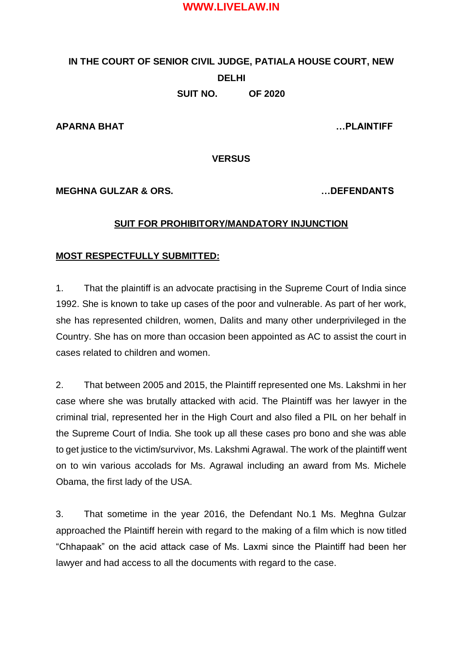# **IN THE COURT OF SENIOR CIVIL JUDGE, PATIALA HOUSE COURT, NEW DELHI SUIT NO. OF 2020**

**APARNA BHAT …PLAINTIFF** 

**VERSUS** 

**MEGHNA GULZAR & ORS. …DEFENDANTS**

#### **SUIT FOR PROHIBITORY/MANDATORY INJUNCTION**

#### **MOST RESPECTFULLY SUBMITTED:**

1. That the plaintiff is an advocate practising in the Supreme Court of India since 1992. She is known to take up cases of the poor and vulnerable. As part of her work, she has represented children, women, Dalits and many other underprivileged in the Country. She has on more than occasion been appointed as AC to assist the court in cases related to children and women.

2. That between 2005 and 2015, the Plaintiff represented one Ms. Lakshmi in her case where she was brutally attacked with acid. The Plaintiff was her lawyer in the criminal trial, represented her in the High Court and also filed a PIL on her behalf in the Supreme Court of India. She took up all these cases pro bono and she was able to get justice to the victim/survivor, Ms. Lakshmi Agrawal. The work of the plaintiff went on to win various accolads for Ms. Agrawal including an award from Ms. Michele Obama, the first lady of the USA.

3. That sometime in the year 2016, the Defendant No.1 Ms. Meghna Gulzar approached the Plaintiff herein with regard to the making of a film which is now titled "Chhapaak" on the acid attack case of Ms. Laxmi since the Plaintiff had been her lawyer and had access to all the documents with regard to the case.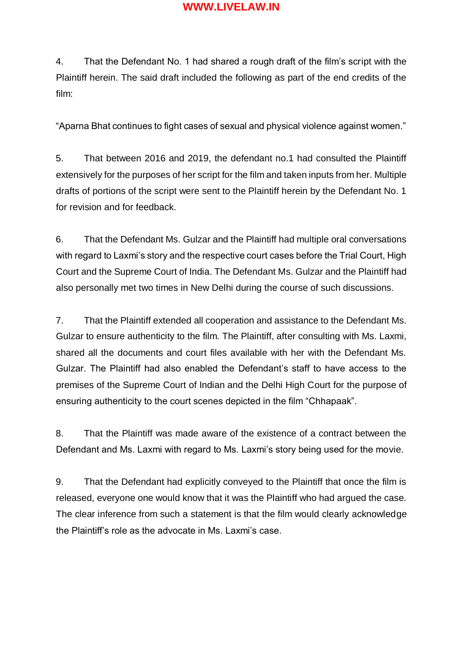4. That the Defendant No. 1 had shared a rough draft of the film's script with the Plaintiff herein. The said draft included the following as part of the end credits of the film:

"Aparna Bhat continues to fight cases of sexual and physical violence against women."

5. That between 2016 and 2019, the defendant no.1 had consulted the Plaintiff extensively for the purposes of her script for the film and taken inputs from her. Multiple drafts of portions of the script were sent to the Plaintiff herein by the Defendant No. 1 for revision and for feedback.

6. That the Defendant Ms. Gulzar and the Plaintiff had multiple oral conversations with regard to Laxmi's story and the respective court cases before the Trial Court, High Court and the Supreme Court of India. The Defendant Ms. Gulzar and the Plaintiff had also personally met two times in New Delhi during the course of such discussions.

7. That the Plaintiff extended all cooperation and assistance to the Defendant Ms. Gulzar to ensure authenticity to the film. The Plaintiff, after consulting with Ms. Laxmi, shared all the documents and court files available with her with the Defendant Ms. Gulzar. The Plaintiff had also enabled the Defendant's staff to have access to the premises of the Supreme Court of Indian and the Delhi High Court for the purpose of ensuring authenticity to the court scenes depicted in the film "Chhapaak".

8. That the Plaintiff was made aware of the existence of a contract between the Defendant and Ms. Laxmi with regard to Ms. Laxmi's story being used for the movie.

9. That the Defendant had explicitly conveyed to the Plaintiff that once the film is released, everyone one would know that it was the Plaintiff who had argued the case. The clear inference from such a statement is that the film would clearly acknowledge the Plaintiff's role as the advocate in Ms. Laxmi's case.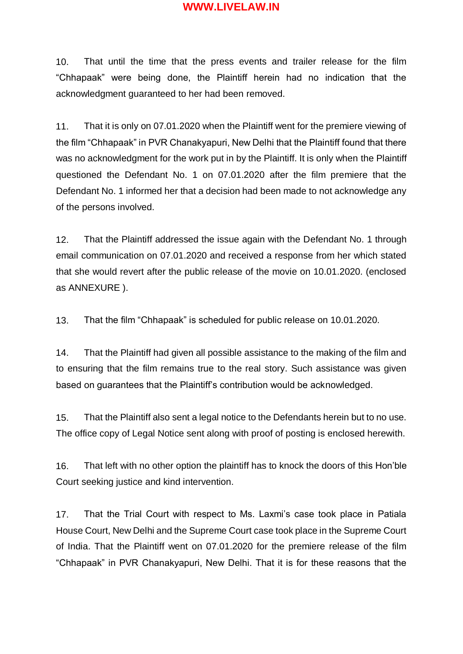10. That until the time that the press events and trailer release for the film "Chhapaak" were being done, the Plaintiff herein had no indication that the acknowledgment guaranteed to her had been removed.

11. That it is only on 07.01.2020 when the Plaintiff went for the premiere viewing of the film "Chhapaak" in PVR Chanakyapuri, New Delhi that the Plaintiff found that there was no acknowledgment for the work put in by the Plaintiff. It is only when the Plaintiff questioned the Defendant No. 1 on 07.01.2020 after the film premiere that the Defendant No. 1 informed her that a decision had been made to not acknowledge any of the persons involved.

12. That the Plaintiff addressed the issue again with the Defendant No. 1 through email communication on 07.01.2020 and received a response from her which stated that she would revert after the public release of the movie on 10.01.2020. (enclosed as ANNEXURE ).

13. That the film "Chhapaak" is scheduled for public release on 10.01.2020.

14. That the Plaintiff had given all possible assistance to the making of the film and to ensuring that the film remains true to the real story. Such assistance was given based on guarantees that the Plaintiff's contribution would be acknowledged.

15. That the Plaintiff also sent a legal notice to the Defendants herein but to no use. The office copy of Legal Notice sent along with proof of posting is enclosed herewith.

16. That left with no other option the plaintiff has to knock the doors of this Hon'ble Court seeking justice and kind intervention.

17. That the Trial Court with respect to Ms. Laxmi's case took place in Patiala House Court, New Delhi and the Supreme Court case took place in the Supreme Court of India. That the Plaintiff went on 07.01.2020 for the premiere release of the film "Chhapaak" in PVR Chanakyapuri, New Delhi. That it is for these reasons that the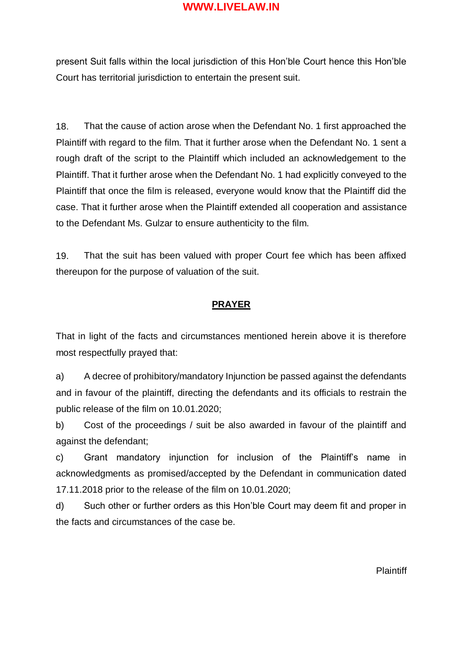present Suit falls within the local jurisdiction of this Hon'ble Court hence this Hon'ble Court has territorial jurisdiction to entertain the present suit.

18. That the cause of action arose when the Defendant No. 1 first approached the Plaintiff with regard to the film. That it further arose when the Defendant No. 1 sent a rough draft of the script to the Plaintiff which included an acknowledgement to the Plaintiff. That it further arose when the Defendant No. 1 had explicitly conveyed to the Plaintiff that once the film is released, everyone would know that the Plaintiff did the case. That it further arose when the Plaintiff extended all cooperation and assistance to the Defendant Ms. Gulzar to ensure authenticity to the film.

19. That the suit has been valued with proper Court fee which has been affixed thereupon for the purpose of valuation of the suit.

#### **PRAYER**

That in light of the facts and circumstances mentioned herein above it is therefore most respectfully prayed that:

a) A decree of prohibitory/mandatory Injunction be passed against the defendants and in favour of the plaintiff, directing the defendants and its officials to restrain the public release of the film on 10.01.2020;

b) Cost of the proceedings / suit be also awarded in favour of the plaintiff and against the defendant;

c) Grant mandatory injunction for inclusion of the Plaintiff's name in acknowledgments as promised/accepted by the Defendant in communication dated 17.11.2018 prior to the release of the film on 10.01.2020;

d) Such other or further orders as this Hon'ble Court may deem fit and proper in the facts and circumstances of the case be.

Plaintiff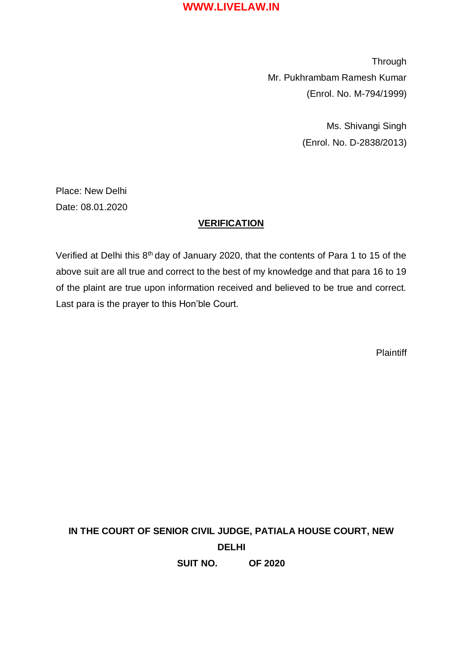**Through** Mr. Pukhrambam Ramesh Kumar (Enrol. No. M-794/1999)

> Ms. Shivangi Singh (Enrol. No. D-2838/2013)

Place: New Delhi Date: 08.01.2020

#### **VERIFICATION**

Verified at Delhi this 8<sup>th</sup> day of January 2020, that the contents of Para 1 to 15 of the above suit are all true and correct to the best of my knowledge and that para 16 to 19 of the plaint are true upon information received and believed to be true and correct. Last para is the prayer to this Hon'ble Court.

**Plaintiff** 

**IN THE COURT OF SENIOR CIVIL JUDGE, PATIALA HOUSE COURT, NEW DELHI SUIT NO. OF 2020**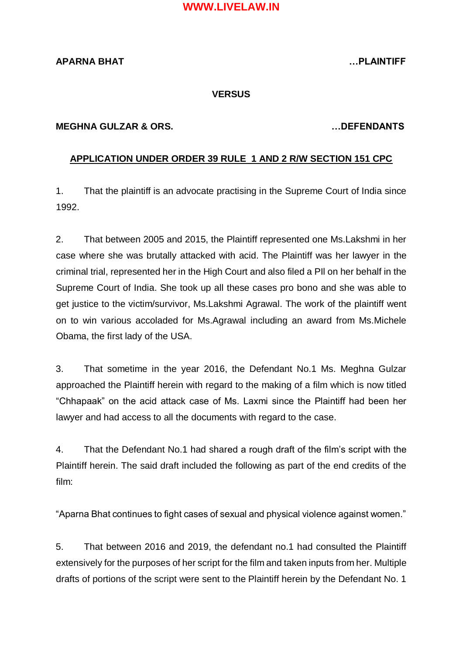# **APARNA BHAT …PLAINTIFF**

#### **VERSUS**

#### **MEGHNA GULZAR & ORS. …DEFENDANTS**

#### **APPLICATION UNDER ORDER 39 RULE 1 AND 2 R/W SECTION 151 CPC**

1. That the plaintiff is an advocate practising in the Supreme Court of India since 1992.

2. That between 2005 and 2015, the Plaintiff represented one Ms.Lakshmi in her case where she was brutally attacked with acid. The Plaintiff was her lawyer in the criminal trial, represented her in the High Court and also filed a PIl on her behalf in the Supreme Court of India. She took up all these cases pro bono and she was able to get justice to the victim/survivor, Ms.Lakshmi Agrawal. The work of the plaintiff went on to win various accoladed for Ms.Agrawal including an award from Ms.Michele Obama, the first lady of the USA.

3. That sometime in the year 2016, the Defendant No.1 Ms. Meghna Gulzar approached the Plaintiff herein with regard to the making of a film which is now titled "Chhapaak" on the acid attack case of Ms. Laxmi since the Plaintiff had been her lawyer and had access to all the documents with regard to the case.

4. That the Defendant No.1 had shared a rough draft of the film's script with the Plaintiff herein. The said draft included the following as part of the end credits of the film:

"Aparna Bhat continues to fight cases of sexual and physical violence against women."

5. That between 2016 and 2019, the defendant no.1 had consulted the Plaintiff extensively for the purposes of her script for the film and taken inputs from her. Multiple drafts of portions of the script were sent to the Plaintiff herein by the Defendant No. 1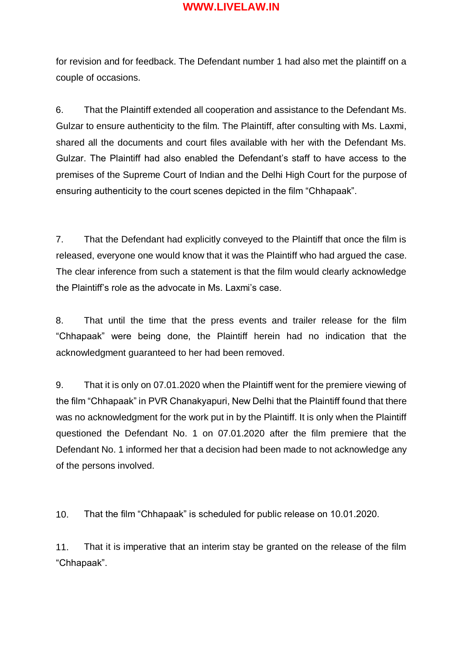for revision and for feedback. The Defendant number 1 had also met the plaintiff on a couple of occasions.

6. That the Plaintiff extended all cooperation and assistance to the Defendant Ms. Gulzar to ensure authenticity to the film. The Plaintiff, after consulting with Ms. Laxmi, shared all the documents and court files available with her with the Defendant Ms. Gulzar. The Plaintiff had also enabled the Defendant's staff to have access to the premises of the Supreme Court of Indian and the Delhi High Court for the purpose of ensuring authenticity to the court scenes depicted in the film "Chhapaak".

7. That the Defendant had explicitly conveyed to the Plaintiff that once the film is released, everyone one would know that it was the Plaintiff who had argued the case. The clear inference from such a statement is that the film would clearly acknowledge the Plaintiff's role as the advocate in Ms. Laxmi's case.

8. That until the time that the press events and trailer release for the film "Chhapaak" were being done, the Plaintiff herein had no indication that the acknowledgment guaranteed to her had been removed.

9. That it is only on 07.01.2020 when the Plaintiff went for the premiere viewing of the film "Chhapaak" in PVR Chanakyapuri, New Delhi that the Plaintiff found that there was no acknowledgment for the work put in by the Plaintiff. It is only when the Plaintiff questioned the Defendant No. 1 on 07.01.2020 after the film premiere that the Defendant No. 1 informed her that a decision had been made to not acknowledge any of the persons involved.

10. That the film "Chhapaak" is scheduled for public release on 10.01.2020.

11. That it is imperative that an interim stay be granted on the release of the film "Chhapaak".